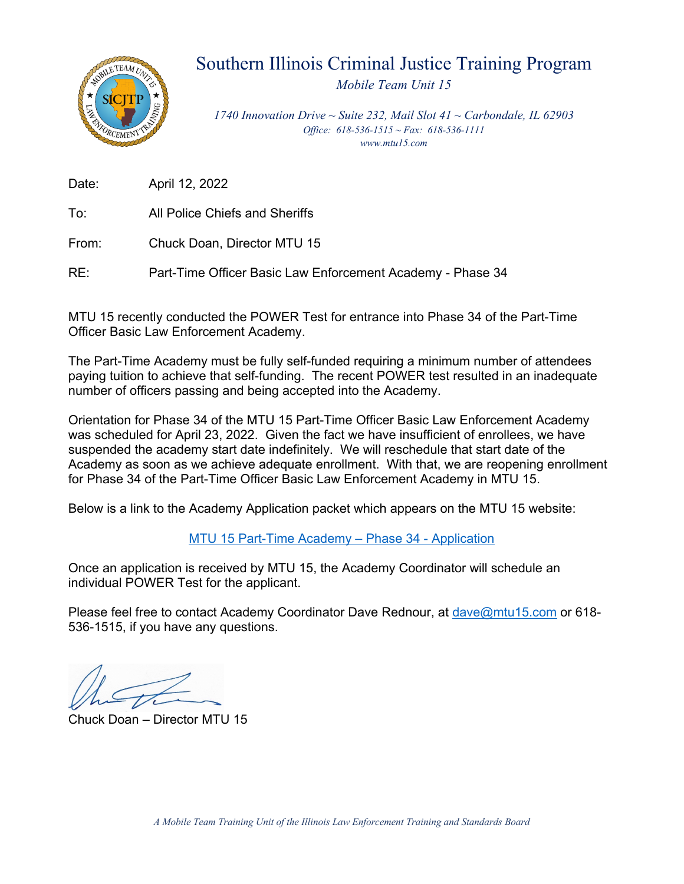

### Southern Illinois Criminal Justice Training Program

*Mobile Team Unit 15*

*1740 Innovation Drive ~ Suite 232, Mail Slot 41 ~ Carbondale, IL 62903 Office: 618-536-1515 ~ Fax: 618-536-1111 www.mtu15.com*

Date: April 12, 2022

To: All Police Chiefs and Sheriffs

From: Chuck Doan, Director MTU 15

RE: Part-Time Officer Basic Law Enforcement Academy - Phase 34

MTU 15 recently conducted the POWER Test for entrance into Phase 34 of the Part-Time Officer Basic Law Enforcement Academy.

The Part-Time Academy must be fully self-funded requiring a minimum number of attendees paying tuition to achieve that self-funding. The recent POWER test resulted in an inadequate number of officers passing and being accepted into the Academy.

Orientation for Phase 34 of the MTU 15 Part-Time Officer Basic Law Enforcement Academy was scheduled for April 23, 2022. Given the fact we have insufficient of enrollees, we have suspended the academy start date indefinitely. We will reschedule that start date of the Academy as soon as we achieve adequate enrollment. With that, we are reopening enrollment for Phase 34 of the Part-Time Officer Basic Law Enforcement Academy in MTU 15.

Below is a link to the Academy Application packet which appears on the MTU 15 website:

MTU 15 Part-Time Academy – Phase 34 - Application

Once an application is received by MTU 15, the Academy Coordinator will schedule an individual POWER Test for the applicant.

Please feel free to contact Academy Coordinator Dave Rednour, at dave@mtu15.com or 618- 536-1515, if you have any questions.

Chuck Doan – Director MTU 15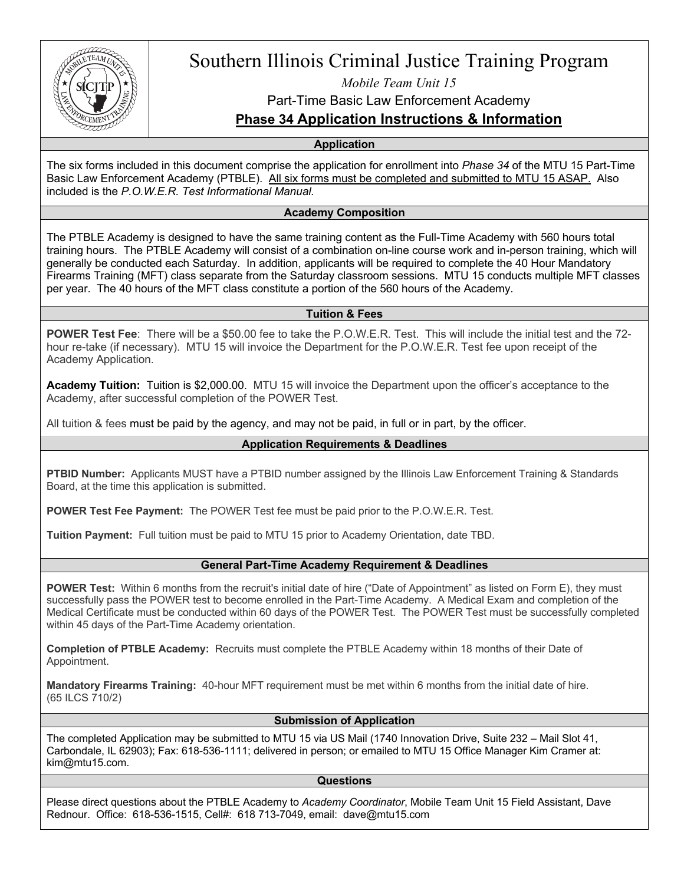

### Southern Illinois Criminal Justice Training Program

*Mobile Team Unit 15*

Part-Time Basic Law Enforcement Academy

**Phase 34 Application Instructions & Information**

**Application**

The six forms included in this document comprise the application for enrollment into *Phase 34* of the MTU 15 Part-Time Basic Law Enforcement Academy (PTBLE). All six forms must be completed and submitted to MTU 15 ASAP. Also included is the *P.O.W.E.R. Test Informational Manual.*

#### **Academy Composition**

The PTBLE Academy is designed to have the same training content as the Full-Time Academy with 560 hours total training hours. The PTBLE Academy will consist of a combination on-line course work and in-person training, which will generally be conducted each Saturday. In addition, applicants will be required to complete the 40 Hour Mandatory Firearms Training (MFT) class separate from the Saturday classroom sessions. MTU 15 conducts multiple MFT classes per year. The 40 hours of the MFT class constitute a portion of the 560 hours of the Academy.

#### **Tuition & Fees**

**POWER Test Fee**: There will be a \$50.00 fee to take the P.O.W.E.R. Test. This will include the initial test and the 72 hour re-take (if necessary). MTU 15 will invoice the Department for the P.O.W.E.R. Test fee upon receipt of the Academy Application.

**Academy Tuition:** Tuition is \$2,000.00. MTU 15 will invoice the Department upon the officer's acceptance to the Academy, after successful completion of the POWER Test.

All tuition & fees must be paid by the agency, and may not be paid, in full or in part, by the officer.

#### **Application Requirements & Deadlines**

**PTBID Number:** Applicants MUST have a PTBID number assigned by the Illinois Law Enforcement Training & Standards Board, at the time this application is submitted.

**POWER Test Fee Payment:** The POWER Test fee must be paid prior to the P.O.W.E.R. Test.

**Tuition Payment:** Full tuition must be paid to MTU 15 prior to Academy Orientation, date TBD.

#### **General Part-Time Academy Requirement & Deadlines**

**POWER Test:** Within 6 months from the recruit's initial date of hire ("Date of Appointment" as listed on Form E), they must successfully pass the POWER test to become enrolled in the Part-Time Academy. A Medical Exam and completion of the Medical Certificate must be conducted within 60 days of the POWER Test. The POWER Test must be successfully completed within 45 days of the Part-Time Academy orientation.

**Completion of PTBLE Academy:** Recruits must complete the PTBLE Academy within 18 months of their Date of Appointment.

**Mandatory Firearms Training:** 40-hour MFT requirement must be met within 6 months from the initial date of hire. (65 ILCS 710/2)

#### **Submission of Application**

The completed Application may be submitted to MTU 15 via US Mail (1740 Innovation Drive, Suite 232 – Mail Slot 41, Carbondale, IL 62903); Fax: 618-536-1111; delivered in person; or emailed to MTU 15 Office Manager Kim Cramer at: kim@mtu15.com.

#### **Questions**

Please direct questions about the PTBLE Academy to *Academy Coordinator*, Mobile Team Unit 15 Field Assistant, Dave Rednour. Office: 618-536-1515, Cell#: 618 713-7049, email: dave@mtu15.com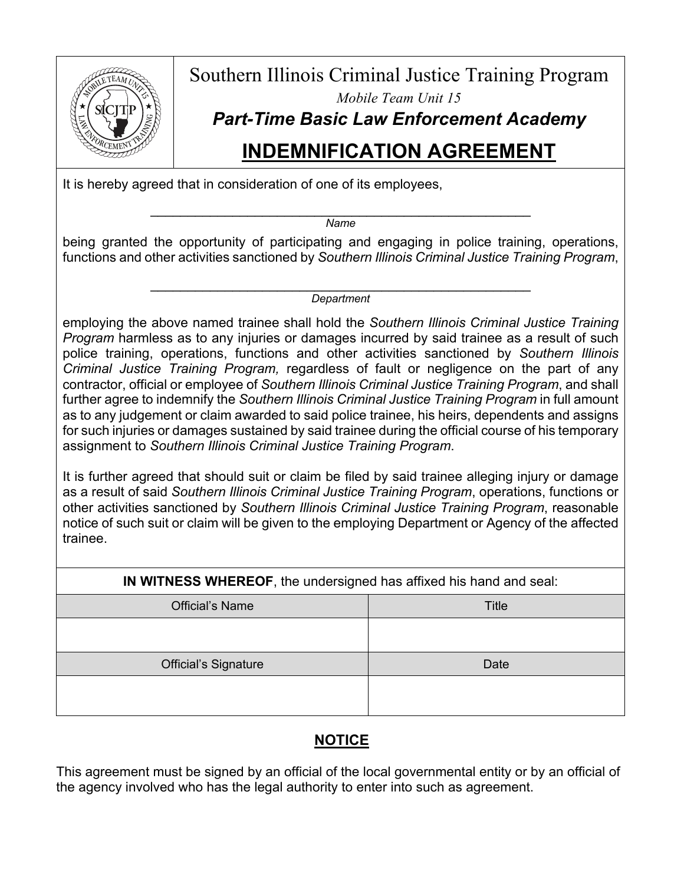

Southern Illinois Criminal Justice Training Program *Mobile Team Unit 15 Part-Time Basic Law Enforcement Academy*

## **INDEMNIFICATION AGREEMENT**

It is hereby agreed that in consideration of one of its employees,

\_\_\_\_\_\_\_\_\_\_\_\_\_\_\_\_\_\_\_\_\_\_\_\_\_\_\_\_\_\_\_\_\_\_\_\_\_\_\_\_\_\_\_\_\_\_\_\_\_\_\_ *Name*

being granted the opportunity of participating and engaging in police training, operations, functions and other activities sanctioned by *Southern Illinois Criminal Justice Training Program*,

> \_\_\_\_\_\_\_\_\_\_\_\_\_\_\_\_\_\_\_\_\_\_\_\_\_\_\_\_\_\_\_\_\_\_\_\_\_\_\_\_\_\_\_\_\_\_\_\_\_\_\_ *Department*

employing the above named trainee shall hold the *Southern Illinois Criminal Justice Training Program* harmless as to any injuries or damages incurred by said trainee as a result of such police training, operations, functions and other activities sanctioned by *Southern Illinois Criminal Justice Training Program,* regardless of fault or negligence on the part of any contractor, official or employee of *Southern Illinois Criminal Justice Training Program*, and shall further agree to indemnify the *Southern Illinois Criminal Justice Training Program* in full amount as to any judgement or claim awarded to said police trainee, his heirs, dependents and assigns for such injuries or damages sustained by said trainee during the official course of his temporary assignment to *Southern Illinois Criminal Justice Training Program*.

It is further agreed that should suit or claim be filed by said trainee alleging injury or damage as a result of said *Southern Illinois Criminal Justice Training Program*, operations, functions or other activities sanctioned by *Southern Illinois Criminal Justice Training Program*, reasonable notice of such suit or claim will be given to the employing Department or Agency of the affected trainee.

**IN WITNESS WHEREOF**, the undersigned has affixed his hand and seal:

| <b>Official's Name</b>      | Title |
|-----------------------------|-------|
|                             |       |
| <b>Official's Signature</b> | Date  |
|                             |       |

### **NOTICE**

This agreement must be signed by an official of the local governmental entity or by an official of the agency involved who has the legal authority to enter into such as agreement.